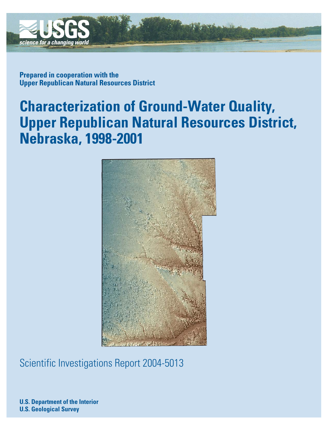

**Prepared in cooperation with the Upper Republican Natural Resources District**

# **Characterization of Ground-Water Quality, Upper Republican Natural Resources District, Nebraska, 1998-2001**



Scientific Investigations Report 2004-5013

**U.S. Department of the Interior U.S. Geological Survey**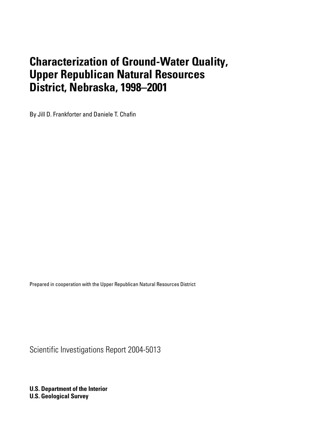By Jill D. Frankforter and Daniele T. Chafin

Prepared in cooperation with the Upper Republican Natural Resources District

Scientific Investigations Report 2004-5013

**U.S. Department of the Interior U.S. Geological Survey**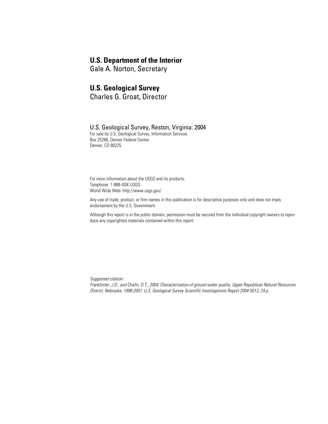## **U.S. Department of the Interior**

Gale A. Norton, Secretary

## **U.S. Geological Survey**

Charles G. Groat, Director

#### U.S. Geological Survey, Reston, Virginia: 2004

For sale by U.S. Geological Survey, Information Services Box 25286, Denver Federal Center Denver, CO 80225

For more information about the USGS and its products: Telephone: 1-888-ASK-USGS World Wide Web: http://www.usgs.gov/

Any use of trade, product, or firm names in this publication is for descriptive purposes only and does not imply endorsement by the U.S. Government.

Although this report is in the public domain, permission must be secured from the individual copyright owners to reproduce any copyrighted materials contained within this report.

*Suggested citation:*

*Frankforter, J.D., and Chafin, D.T., 2004, Characterization of ground-water quality, Upper Republican Natural Resources District, Nebraska, 1998-2001: U.S. Geological Survey Scientific Investigations Report 2004-5013, 24 p.*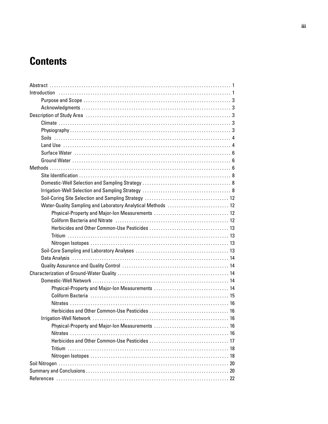# **Contents**

| Water-Quality Sampling and Laboratory Analytical Methods  12                                                   |
|----------------------------------------------------------------------------------------------------------------|
|                                                                                                                |
| Coliform Bacteria and Nitrate (and according contract and all the Microsoft Alexander Microsoft Alexander Micr |
|                                                                                                                |
|                                                                                                                |
|                                                                                                                |
|                                                                                                                |
|                                                                                                                |
|                                                                                                                |
|                                                                                                                |
|                                                                                                                |
|                                                                                                                |
|                                                                                                                |
|                                                                                                                |
|                                                                                                                |
|                                                                                                                |
|                                                                                                                |
|                                                                                                                |
|                                                                                                                |
|                                                                                                                |
|                                                                                                                |
|                                                                                                                |
|                                                                                                                |
|                                                                                                                |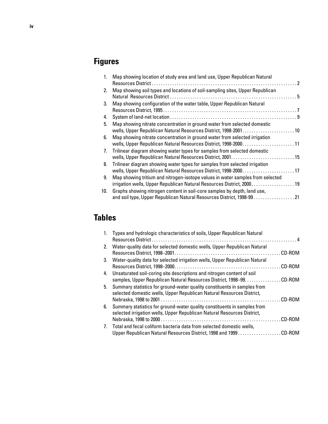# **Figures**

| 1.          | Map showing location of study area and land use, Upper Republican Natural                                                                                |  |
|-------------|----------------------------------------------------------------------------------------------------------------------------------------------------------|--|
| 2.          | Map showing soil types and locations of soil-sampling sites, Upper Republican                                                                            |  |
| 3.          | Map showing configuration of the water table, Upper Republican Natural                                                                                   |  |
| 4.          |                                                                                                                                                          |  |
| 5.          | Map showing nitrate concentration in ground water from selected domestic<br>wells, Upper Republican Natural Resources District, 1998-200110              |  |
| 6.          | Map showing nitrate concentration in ground water from selected irrigation<br>wells, Upper Republican Natural Resources District, 1998-200011            |  |
| $7_{\cdot}$ | Trilinear diagram showing water types for samples from selected domestic                                                                                 |  |
| 8.          | Trilinear diagram showing water types for samples from selected irrigation<br>wells, Upper Republican Natural Resources District, 1998-2000.  17         |  |
| 9.          | Map showing tritium and nitrogen-isotope values in water samples from selected<br>irrigation wells, Upper Republican Natural Resources District, 2000 19 |  |
| 10.         | Graphs showing nitrogen content in soil-core samples by depth, land use,<br>and soil type, Upper Republican Natural Resources District, 1998-99 21       |  |

# **Tables**

| $1_{-}$                          | Types and hydrologic characteristics of soils, Upper Republican Natural                                                                             |  |
|----------------------------------|-----------------------------------------------------------------------------------------------------------------------------------------------------|--|
| 2 <sub>1</sub>                   | Water-quality data for selected domestic wells, Upper Republican Natural                                                                            |  |
| 3.                               | Water-quality data for selected irrigation wells, Upper Republican Natural                                                                          |  |
| 4.                               | Unsaturated soil-coring site descriptions and nitrogen content of soil<br>samples, Upper Republican Natural Resources District, 1998-99. CD-ROM     |  |
| 5.                               | Summary statistics for ground-water quality constituents in samples from<br>selected domestic wells, Upper Republican Natural Resources District,   |  |
| 6.                               | Summary statistics for ground-water quality constituents in samples from<br>selected irrigation wells, Upper Republican Natural Resources District, |  |
| $7_{\scriptscriptstyle{\ddots}}$ | Total and fecal coliform bacteria data from selected domestic wells,                                                                                |  |
|                                  | Upper Republican Natural Resources District, 1998 and 1999CD-ROM                                                                                    |  |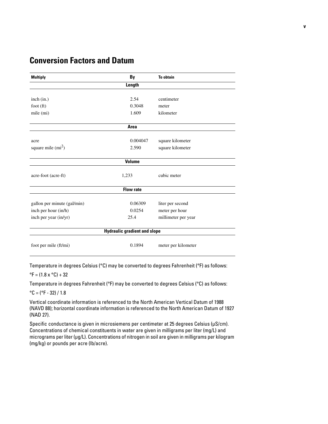# **Conversion Factors and Datum**

| <b>Multiply</b>                     | By               | <b>To obtain</b>    |  |  |  |  |  |  |
|-------------------------------------|------------------|---------------------|--|--|--|--|--|--|
| Length                              |                  |                     |  |  |  |  |  |  |
|                                     |                  |                     |  |  |  |  |  |  |
| inch (in.)                          | 2.54             | centimeter          |  |  |  |  |  |  |
| foot $(ft)$                         | 0.3048           | meter               |  |  |  |  |  |  |
| mile (mi)                           | 1.609            | kilometer           |  |  |  |  |  |  |
|                                     | Area             |                     |  |  |  |  |  |  |
| acre                                | 0.004047         | square kilometer    |  |  |  |  |  |  |
| square mile $(mi^2)$                | 2.590            | square kilometer    |  |  |  |  |  |  |
|                                     | <b>Volume</b>    |                     |  |  |  |  |  |  |
| acre-foot (acre-ft)                 | 1,233            | cubic meter         |  |  |  |  |  |  |
|                                     | <b>Flow rate</b> |                     |  |  |  |  |  |  |
| gallon per minute (gal/min)         | 0.06309          | liter per second    |  |  |  |  |  |  |
| inch per hour (in/h)                | 0.0254           | meter per hour      |  |  |  |  |  |  |
| inch per year (in/yr)               | 25.4             | millimeter per year |  |  |  |  |  |  |
| <b>Hydraulic gradient and slope</b> |                  |                     |  |  |  |  |  |  |
| foot per mile (ft/mi)               | 0.1894           | meter per kilometer |  |  |  |  |  |  |

Temperature in degrees Celsius (°C) may be converted to degrees Fahrenheit (°F) as follows:

#### ${}^{\circ}$ F = (1.8 x  ${}^{\circ}$ C) + 32

Temperature in degrees Fahrenheit (°F) may be converted to degrees Celsius (°C) as follows:

 $^{\circ}$ C = ( $^{\circ}$ F - 32) / 1.8

Vertical coordinate information is referenced to the North American Vertical Datum of 1988 (NAVD 88); horizontal coordinate information is referenced to the North American Datum of 1927 (NAD 27).

Specific conductance is given in microsiemens per centimeter at 25 degrees Celsius (µS/cm). Concentrations of chemical constituents in water are given in milligrams per liter (mg/L) and micrograms per liter (µg/L). Concentrations of nitrogen in soil are given in milligrams per kilogram (mg/kg) or pounds per acre (lb/acre).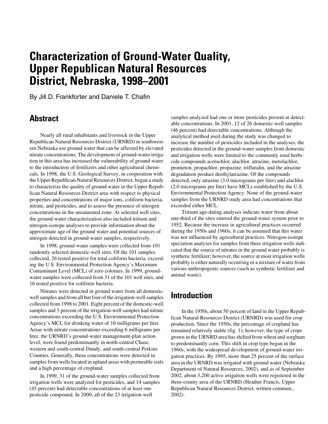By Jill D. Frankforter and Daniele T. Chafin

## <span id="page-6-0"></span>**Abstract**

Nearly all rural inhabitants and livestock in the Upper Republican Natural Resources District (URNRD) in southwestern Nebraska use ground water that can be affected by elevated nitrate concentrations. The development of ground-water irrigation in this area has increased the vulnerability of ground water to the introduction of fertilizers and other agricultural chemicals. In 1998, the U.S. Geological Survey, in cooperation with the Upper Republican Natural Resources District, began a study to characterize the quality of ground water in the Upper Republican Natural Resources District area with respect to physical properties and concentrations of major ions, coliform bacteria, nitrate, and pesticides, and to assess the presence of nitrogen concentrations in the unsaturated zone. At selected well sites, the ground-water characterization also included tritium and nitrogen-isotope analyses to provide information about the approximate age of the ground water and potential sources of nitrogen detected in ground-water samples, respectively.

In 1998, ground-water samples were collected from 101 randomly selected domestic-well sites. Of the 101 samples collected, 26 tested positive for total coliform bacteria, exceeding the U.S. Environmental Protection Agency's Maximum Contaminant Level (MCL) of zero colonies. In 1999, groundwater samples were collected from 31 of the 101 well sites, and 16 tested positive for coliform bacteria.

Nitrates were detected in ground water from all domesticwell samples and from all but four of the irrigation-well samples collected from 1998 to 2001. Eight percent of the domestic-well samples and 3 percent of the irrigation-well samples had nitrate concentrations exceeding the U.S. Environmental Protection Agency's MCL for drinking water of 10 milligrams per liter. Areas with nitrate concentrations exceeding 6 milligrams per liter, the URNRD's ground-water management-plan action level, were found predominantly in north-central Chase, western and south-central Dundy, and south-central Perkins Counties. Generally, these concentrations were detected in samples from wells located in upland areas with permeable soils and a high percentage of cropland.

In 1999, 31 of the ground-water samples collected from irrigation wells were analyzed for pesticides, and 14 samples (45 percent) had detectable concentrations of at least one pesticide compound. In 2000, all of the 23 irrigation-well

samples analyzed had one or more pesticides present at detectable concentrations. In 2001, 12 of 26 domestic-well samples (46 percent) had detectable concentrations. Although the analytical method used during the study was changed to increase the number of pesticides included in the analyses, the pesticides detected in the ground-water samples from domestic and irrigation wells were limited to the commonly used herbicide compounds acetochlor, alachlor, atrazine, metolachlor, prometon, propachlor, propazine, trifluralin, and the atrazine degradation product deethylatrazine. Of the compounds detected, only atrazine (3.0 micrograms per liter) and alachlor (2.0 micrograms per liter) have MCLs established by the U.S. Environmental Protection Agency. None of the ground-water samples from the URNRD study area had concentrations that exceeded either MCL.

Tritium age-dating analyses indicate water from about one-third of the sites entered the ground-water system prior to 1952. Because the increase in agricultural practices occurred during the 1950s and 1960s, it can be assumed that this water was not influenced by agricultural practices. Nitrogen-isotope speciation analyses for samples from three irrigation wells indicated that the source of nitrates in the ground water probably is synthetic fertilizer; however, the source at most irrigation wells probably is either naturally occurring or a mixture of water from various anthropogenic sources (such as synthetic fertilizer and animal waste).

# <span id="page-6-1"></span>**Introduction**

In the 1950s, about 50 percent of land in the Upper Republican Natural Resources District (URNRD) was used for crop production. Since the 1950s, the percentage of cropland has remained relatively stable (fig. 1); however, the type of crops grown in the URNRD area has shifted from wheat and sorghum to predominantly corn. This shift in crop type began in the 1960s, with the widespread development of ground-water irrigation practices. By 1995, more than 25 percent of the surface area in the URNRD was irrigated with ground water (Nebraska Department of Natural Resources, 2002), and as of September 2002, about 3,200 active irrigation wells were registered in the three-county area of the URNRD (Heather Francis, Upper Republican Natural Resources District, written commun., 2002).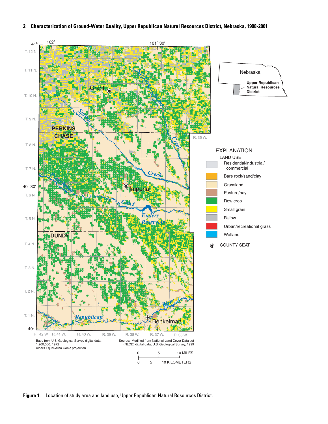

**Figure 1**. Location of study area and land use, Upper Republican Natural Resources District.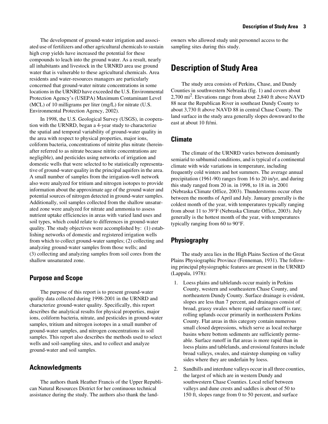The development of ground-water irrigation and associated use of fertilizers and other agricultural chemicals to sustain high crop yields have increased the potential for these compounds to leach into the ground water. As a result, nearly all inhabitants and livestock in the URNRD area use ground water that is vulnerable to these agricultural chemicals. Area residents and water-resources managers are particularly concerned that ground-water nitrate concentrations in some locations in the URNRD have exceeded the U.S. Environmental Protection Agency's (USEPA) Maximum Contaminant Level (MCL) of 10 milligrams per liter (mg/L) for nitrate (U.S. Environmental Protection Agency, 2002).

In 1998, the U.S. Geological Survey (USGS), in cooperation with the URNRD, began a 4-year study to characterize the spatial and temporal variability of ground-water quality in the area with respect to physical properties, major ions, coliform bacteria, concentrations of nitrite plus nitrate (hereinafter referred to as nitrate because nitrite concentrations are negligible), and pesticides using networks of irrigation and domestic wells that were selected to be statistically representative of ground-water quality in the principal aquifers in the area. A small number of samples from the irrigation-well network also were analyzed for tritium and nitrogen isotopes to provide information about the approximate age of the ground water and potential sources of nitrogen detected in ground-water samples. Additionally, soil samples collected from the shallow unsaturated zone were analyzed for nitrate and ammonia to assess nutrient uptake efficiencies in areas with varied land uses and soil types, which could relate to differences in ground-water quality. The study objectives were accomplished by: (1) establishing networks of domestic and registered irrigation wells from which to collect ground-water samples; (2) collecting and analyzing ground-water samples from those wells; and (3) collecting and analyzing samples from soil cores from the shallow unsaturated zone.

#### <span id="page-8-0"></span>**Purpose and Scope**

The purpose of this report is to present ground-water quality data collected during 1998-2001 in the URNRD and characterize ground-water quality. Specifically, this report describes the analytical results for physical properties, major ions, coliform bacteria, nitrate, and pesticides in ground-water samples, tritium and nitrogen isotopes in a small number of ground-water samples, and nitrogen concentrations in soil samples. This report also describes the methods used to select wells and soil-sampling sites, and to collect and analyze ground-water and soil samples.

#### <span id="page-8-1"></span>**Acknowledgments**

The authors thank Heather Francis of the Upper Republican Natural Resources District for her continuous technical assistance during the study. The authors also thank the landowners who allowed study unit personnel access to the sampling sites during this study.

## <span id="page-8-2"></span>**Description of Study Area**

The study area consists of Perkins, Chase, and Dundy Counties in southwestern Nebraska (fig. 1) and covers about 2,700 mi2. Elevations range from about 2,840 ft above NAVD 88 near the Republican River in southeast Dundy County to about 3,730 ft above NAVD 88 in central Chase County. The land surface in the study area generally slopes downward to the east at about 10 ft/mi.

#### <span id="page-8-3"></span>**Climate**

The climate of the URNRD varies between dominantly semiarid to subhumid conditions, and is typical of a continental climate with wide variations in temperature, including frequently cold winters and hot summers. The average annual precipitation (1961-90) ranges from 16 to 20 in/yr, and during this study ranged from 20 in. in 1998, to 18 in. in 2001 (Nebraska Climate Office, 2003). Thunderstorms occur often between the months of April and July. January generally is the coldest month of the year, with temperatures typically ranging from about 11 to 39°F (Nebraska Climate Office, 2003). July generally is the hottest month of the year, with temperatures typically ranging from 60 to 90°F.

## <span id="page-8-4"></span>**Physiography**

The study area lies in the High Plains Section of the Great Plains Physiographic Province (Fenneman, 1931). The following principal physiographic features are present in the URNRD (Lappala, 1978):

- 1. Loess plains and tablelands occur mainly in Perkins County, western and southeastern Chase County, and northeastern Dundy County. Surface drainage is evident, slopes are less than 7 percent, and drainages consist of broad, grassy swales where rapid surface runoff is rare; rolling uplands occur primarily in northeastern Perkins County. Flat areas in this category contain numerous small closed depressions, which serve as local recharge basins where bottom sediments are sufficiently permeable. Surface runoff in flat areas is more rapid than in loess plains and tablelands, and erosional features include broad valleys, swales, and stairstep slumping on valley sides where they are underlain by loess.
- 2. Sandhills and interdune valleys occur in all three counties, the largest of which are in western Dundy and southwestern Chase Counties. Local relief between valleys and dune crests and saddles is about of 50 to 150 ft, slopes range from 0 to 50 percent, and surface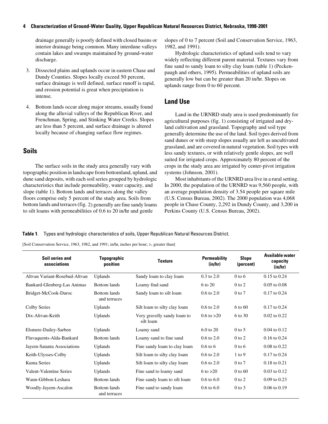drainage generally is poorly defined with closed basins or interior drainage being common. Many interdune valleys contain lakes and swamps maintained by ground-water discharge.

- 3. Dissected plains and uplands occur in eastern Chase and Dundy Counties. Slopes locally exceed 50 percent, surface drainage is well defined, surface runoff is rapid, and erosion potential is great when precipitation is intense.
- 4. Bottom lands occur along major streams, usually found along the alluvial valleys of the Republican River, and Frenchman, Spring, and Stinking Water Creeks. Slopes are less than 5 percent, and surface drainage is altered locally because of changing surface flow regimes.

## <span id="page-9-0"></span>**Soils**

 The surface soils in the study area generally vary with topographic position in landscape from bottomland, upland, and dune sand deposits, with each soil series grouped by hydrologic characteristics that include permeability, water capacity, and slope (table 1). Bottom lands and terraces along the valley floors comprise only 5 percent of the study area. Soils from bottom lands and terraces (fig. 2) generally are fine sandy loams to silt loams with permeabilities of 0.6 to 20 in/hr and gentle

slopes of 0 to 7 percent (Soil and Conservation Service, 1963, 1982, and 1991).

Hydrologic characteristics of upland soils tend to vary widely reflecting different parent material. Textures vary from fine sand to sandy loam to silty clay loam (table 1) (Peckenpaugh and others, 1995). Permeabilities of upland soils are generally low but can be greater than 20 in/hr. Slopes on uplands range from 0 to 60 percent.

### <span id="page-9-1"></span>**Land Use**

Land in the URNRD study area is used predominantly for agricultural purposes (fig. 1) consisting of irrigated and dryland cultivation and grassland. Topography and soil type generally determine the use of the land. Soil types derived from sand dunes or with steep slopes usually are left as uncultivated grassland, and are covered in natural vegetation. Soil types with less sandy textures, or with relatively gentle slopes, are well suited for irrigated crops. Approximately 80 percent of the crops in the study area are irrigated by center-pivot irrigation systems (Johnson, 2001).

Most inhabitants of the URNRD area live in a rural setting. In 2000, the population of the URNRD was 9,560 people, with an average population density of 3.54 people per square mile (U.S. Census Bureau, 2002). The 2000 population was 4,068 people in Chase County, 2,292 in Dundy County, and 3,200 in Perkins County (U.S. Census Bureau, 2002).

**Table 1**. Types and hydrologic characteristics of soils, Upper Republican Natural Resources District.

[Soil Conservation Service, 1963, 1982, and 1991; in/hr, inches per hour; >, greater than]

| <b>Soil series and</b><br>associations | Topographic<br>position             | <b>Texture</b>                           | <b>Permeability</b><br>(in/hr) | <b>Slope</b><br>(percent) | Available water<br>capacity<br>(in/hr) |
|----------------------------------------|-------------------------------------|------------------------------------------|--------------------------------|---------------------------|----------------------------------------|
| Altvan Variant-Rosebud-Altvan          | Uplands                             | Sandy loam to clay loam                  | $0.3 \text{ to } 2.0$          | $0$ to 6                  | $0.15$ to $0.24$                       |
| Bankard-Glenberg-Las Animas            | <b>Bottom</b> lands                 | Loamy find sand                          | 6 to 20                        | $0$ to $2$                | $0.05$ to $0.08$                       |
| Bridget-McCook-Duroc                   | <b>Bottom</b> lands<br>and terraces | Sandy loam to silt loam                  | $0.6 \text{ to } 2.0$          | $0$ to $7$                | $0.17$ to $0.24$                       |
| Colby Series                           | <b>Uplands</b>                      | Silt loam to silty clay loam             | $0.6 \text{ to } 2.0$          | 6 to 60                   | $0.17$ to $0.24$                       |
| Dix-Altvan-Keith                       | Uplands                             | Very gravelly sandy loam to<br>silt loam | $0.6 \text{ to } >20$          | 6 to 30                   | $0.02$ to $0.22$                       |
| Elsmere-Dailey-Sarben                  | <b>Uplands</b>                      | Loamy sand                               | $6.0$ to $20$                  | $0$ to 5                  | $0.04$ to $0.12$                       |
| Fluvaquents-Alda-Bankard               | <b>Bottom</b> lands                 | Loamy sand to fine sand                  | $0.6 \text{ to } 2.0$          | $0$ to $2$                | $0.16$ to $0.24$                       |
| Jayem-Satanta Associations             | <b>Uplands</b>                      | Fine sandy loam to clay loam             | $0.6$ to 6                     | $0$ to 6                  | 0.08 to 0.22                           |
| Keith-Ulysses-Colby                    | <b>Uplands</b>                      | Silt loam to silty clay loam             | $0.6 \text{ to } 2.0$          | $1$ to 9                  | $0.17$ to $0.24$                       |
| Kuma Series                            | Uplands                             | Silt loam to silty clay loam             | $0.6 \text{ to } 2.0$          | $0$ to $7$                | 0.18 to 0.21                           |
| Valent-Valentine Series                | Uplands                             | Fine sand to loamy sand                  | $6 \text{ to } >20$            | $0$ to $60$               | $0.03$ to $0.12$                       |
| Wann-Gibbon-Leshara                    | <b>Bottom</b> lands                 | Fine sandy loam to silt loam             | $0.6 \text{ to } 6.0$          | $0$ to $2$                | $0.09$ to $0.23$                       |
| Woodly-Jayem-Ascalon                   | <b>Bottom</b> lands<br>and terraces | Fine sand to sandy loam                  | $0.6 \text{ to } 6.0$          | $0$ to $3$                | $0.06$ to $0.19$                       |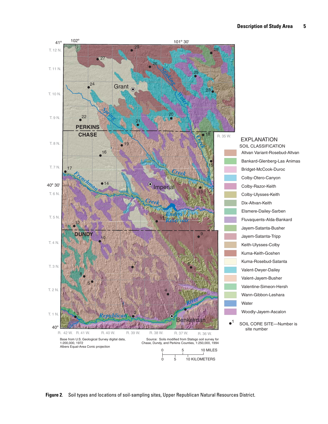

Altvan Variant-Rosebud-Altvan Bankard-Glenberg-Las Animas Bridget-McCook-Duroc Colby-Otero-Canyon Colby-Razor-Keith Colby-Ulysses-Keith Dix-Altvan-Keith Elsmere-Dailey-Sarben Fluvaquents-Alda-Bankard Jayem-Satanta-Busher Jayem-Satanta-Tripp Keith-Ulysses-Colby Kuma-Keith-Goshen Kuma-Rosebud-Satanta Valent-Dwyer-Dailey Valent-Jayem-Busher Valentine-Simeon-Hersh Wann-Gibbon-Leshara Water Woodly-Jayem-Ascalon EXPLANATION SOIL CLASSIFICATION SOIL CORE SITE—Number is site number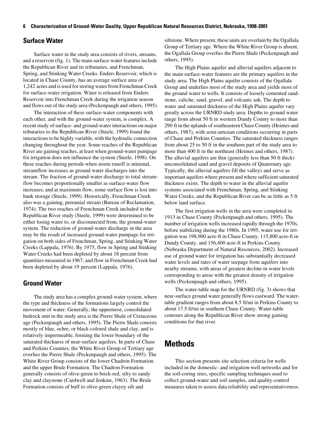#### <span id="page-11-0"></span>**Surface Water**

Surface water in the study area consists of rivers, streams, and a reservoir (fig. 1). The main surface-water features include the Republican River and its tributaries, and Frenchman, Spring, and Stinking Water Creeks. Enders Reservoir, which is located in Chase County, has an average surface area of 1,242 acres and is used for storing water from Frenchman Creek for surface-water irrigation. Water is released from Enders Reservoir into Frenchman Creek during the irrigation season and flows out of the study area (Peckenpaugh and others, 1995).

The interaction of these surface-water components with each other, and with the ground-water system, is complex. A recent study of surface- and ground-water interactions on major tributaries to the Republican River (Steele, 1999) found the interactions to be highly variable, with the hydraulic connection changing throughout the year. Some reaches of the Republican River are gaining reaches, at least when ground-water pumpage for irrigation does not influence the system (Steele, 1998). On these reaches during periods when storm runoff is minimal, streamflow increases as ground water discharges into the stream. The fraction of ground-water discharge to total streamflow becomes proportionally smaller as surface-water flow increases, and at maximum flow, some surface flow is lost into bank storage (Steele, 1999). Historically, Frenchman Creek also was a gaining, perennial stream (Bureau of Reclamation, 1974). The two reaches of Frenchman Creek included in the Republican River study (Steele, 1999) were determined to be either losing water to, or disconnected from, the ground-water system. The reduction of ground-water discharge in the area may be the result of increased ground-water pumpage for irrigation on both sides of Frenchman, Spring, and Stinking Water Creeks (Lappala, 1976). By 1975, flow in Spring and Stinking Water Creeks had been depleted by about 18 percent from quantities measured in 1967, and flow in Frenchman Creek had been depleted by about 19 percent (Lappala, 1976).

#### <span id="page-11-1"></span>**Ground Water**

The study area has a complex ground-water system, where the type and thickness of the formations largely control the movement of water. Generally, the uppermost, consolidated bedrock unit in the study area is the Pierre Shale of Cretaceous age (Peckenpaugh and others, 1995). The Pierre Shale consists mostly of blue, ochre, or black-colored shale and clay, and is relatively impermeable, forming the lower boundary of the saturated thickness of near-surface aquifers. In parts of Chase and Perkins Counties, the White River Group of Tertiary age overlies the Pierre Shale (Peckenpaugh and others, 1995). The White River Group consists of the lower Chadron Formation and the upper Brule Formation. The Chadron Formation generally consists of olive-green to brick-red, silty to sandy clay and claystone (Cardwell and Jenkins, 1963). The Brule Formation consists of buff to olive-green clayey silt and

siltstone. Where present, these units are overlain by the Ogallala Group of Tertiary age. Where the White River Group is absent, the Ogallala Group overlies the Pierre Shale (Peckenpaugh and others, 1995).

The High Plains aquifer and alluvial aquifers adjacent to the main surface-water features are the primary aquifers in the study area. The High Plains aquifer consists of the Ogallala Group and underlies most of the study area and yields most of the ground water to wells. It consists of loosely cemented sandstone, caliche, sand, gravel, and volcanic ash. The depth to water and saturated thickness of the High Plains aquifer vary greatly across the URNRD study area. Depths to ground water range from about 50 ft in western Dundy County to more than 290 ft in the uplands of southeastern Chase County (Heimes and others, 1987), with semi-artesian conditions occurring in parts of Chase and Perkins Counties. The saturated thickness ranges from about 25 to 50 ft in the southern part of the study area to more than 400 ft in the northeast (Heimes and others, 1987). The alluvial aquifers are thin (generally less than 50 ft thick) unconsolidated sand and gravel deposits of Quaternary age. Typically, the alluvial aquifers fill the valleys and serve as important aquifers where present and where sufficient saturated thickness exists. The depth to water in the alluvial aquifer systems associated with Frenchman, Spring, and Stinking Water Creeks, and the Republican River can be as little as 5 ft below land surface.

The first irrigation wells in the area were completed in 1913 in Chase County (Peckenpaugh and others, 1995). The number of irrigation wells increased rapidly through the 1970s, before stabilizing during the 1980s. In 1995, water use for irrigation was 198,900 acre-ft in Chase County, 115,800 acre-ft in Dundy County, and 156,400 acre-ft in Perkins County (Nebraska Department of Natural Resources, 2002). Increased use of ground water for irrigation has substantially decreased water levels and rates of water seepage from aquifers into nearby streams, with areas of greatest decline in water levels corresponding to areas with the greatest density of irrigation wells (Peckenpaugh and others, 1995).

The water-table map for the URNRD (fig. 3) shows that near-surface ground water generally flows eastward. The watertable gradient ranges from about 8.5 ft/mi in Perkins County to about 17.5 ft/mi in southern Chase County. Water-table contours along the Republican River show strong gaining conditions for that river.

# <span id="page-11-2"></span>**Methods**

This section presents site selection criteria for wells included in the domestic- and irrigation-well networks and for the soil-coring sites, specific sampling techniques used to collect ground-water and soil samples, and quality-control measures taken to assess data reliability and representativeness.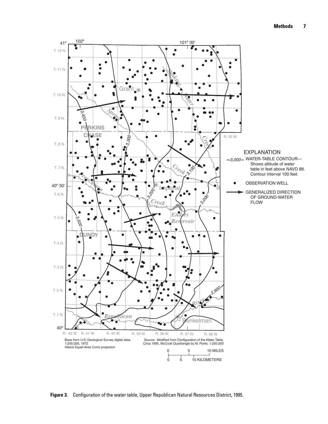

**Figure 3.** Configuration of the water table, Upper Republican Natural Resources District, 1995.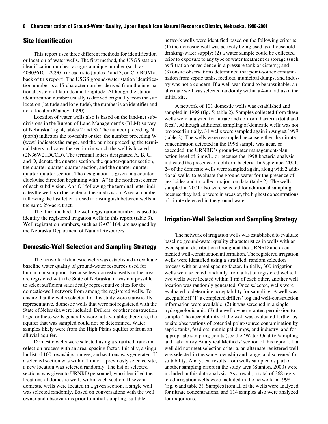### <span id="page-13-0"></span>**Site Identification**

This report uses three different methods for identification or location of water wells. The first method, the USGS station identification number, assigns a unique number (such as 403036101220901) to each site (tables 2 and 3, on CD-ROM at back of this report). The USGS ground-water station identification number is a 15-character number derived from the international system of latitude and longitude. Although the station identification number usually is derived originally from the site location (latitude and longitude), the number is an identifier and not a locator (Mathey, 1990).

Location of water wells also is based on the land-net subdivisions in the Bureau of Land Management's (BLM) survey of Nebraska (fig. 4; tables 2 and 3). The number preceding N (north) indicates the township or tier, the number preceding W (west) indicates the range, and the number preceding the terminal letters indicates the section in which the well is located (2N36W21DCCD). The terminal letters designated A, B, C, and D, denote the quarter section, the quarter-quarter section, the quarter-quarter-quarter section, and the quarter-quarterquarter-quarter section. The designation is given in a counterclockwise direction beginning with "A" in the northeast corner of each subdivision. An "O" following the terminal letter indicates the well is in the center of the subdivision. A serial number following the last letter is used to distinguish between wells in the same 2½-acre tract.

The third method, the well registration number, is used to identify the registered irrigation wells in this report (table 3). Well registration numbers, such as G-031164, are assigned by the Nebraska Department of Natural Resources.

## <span id="page-13-1"></span>**Domestic-Well Selection and Sampling Strategy**

The network of domestic wells was established to evaluate baseline water quality of ground-water resources used for human consumption. Because few domestic wells in the area are registered with the State of Nebraska, it was not possible to select sufficient statistically representative sites for the domestic-well network from among the registered wells. To ensure that the wells selected for this study were statistically representative, domestic wells that were not registered with the State of Nebraska were included. Drillers' or other construction logs for these wells generally were not available; therefore, the aquifer that was sampled could not be determined. Water samples likely were from the High Plains aquifer or from an alluvial aquifer.

Domestic wells were selected using a stratified, random selection process with an areal spacing factor. Initially, a singular list of 100 townships, ranges, and sections was generated. If a selected section was within 1 mi of a previously selected site, a new location was selected randomly. The list of selected sections was given to URNRD personnel, who identified the locations of domestic wells within each section. If several domestic wells were located in a given section, a single well was selected randomly. Based on conversations with the well owner and observations prior to initial sampling, suitable

network wells were identified based on the following criteria: (1) the domestic well was actively being used as a household drinking-water supply; (2) a water sample could be collected prior to exposure to any type of water treatment or storage (such as filtration or residence in a pressure tank or cistern); and (3) onsite observations determined that point-source contamination from septic tanks, feedlots, municipal dumps, and industry was not a concern. If a well was found to be unsuitable, an alternate well was selected randomly within a 4-mi radius of the initial site.

A network of 101 domestic wells was established and sampled in 1998 (fig. 5; table 2). Samples collected from these wells were analyzed for nitrate and coliform bacteria (total and fecal). Although additional sampling of domestic wells was not proposed initially, 31 wells were sampled again in August 1999 (table 2). The wells were resampled because either the nitrate concentration detected in the 1998 sample was near, or exceeded, the URNRD's ground-water management-plan action level of 6 mg/L, or because the 1998 bacteria analysis indicated the presence of coliform bacteria. In September 2001, 24 of the domestic wells were sampled again, along with 2 additional wells, to evaluate the ground water for the presence of pesticides and to collect major-ion data (table 2). The wells sampled in 2001 also were selected for additional sampling because they had, or were in areas of, the highest concentrations of nitrate detected in the ground water.

## <span id="page-13-2"></span>**Irrigation-Well Selection and Sampling Strategy**

The network of irrigation wells was established to evaluate baseline ground-water quality characteristics in wells with an even spatial distribution throughout the URNRD and documented well-construction information. The registered irrigation wells were identified using a stratified, random selection process with an areal spacing factor. Initially, 300 irrigation wells were selected randomly from a list of registered wells. If two wells were located within 1 mi of each other, another well location was randomly generated. Once selected, wells were evaluated to determine acceptability for sampling. A well was acceptable if (1) a completed drillers' log and well-construction information were available; (2) it was screened in a single hydrogeologic unit; (3) the well owner granted permission to sample. The acceptability of the well was evaluated further by onsite observations of potential point-source contamination by septic tanks, feedlots, municipal dumps, and industry, and for appropriate sampling points (see the 'Water-Quality Sampling and Laboratory Analytical Methods' section of this report). If a well did not meet selection criteria, an alternate registered well was selected in the same township and range, and screened for suitability. Analytical results from wells sampled as part of another sampling effort in the study area (Stanton, 2000) were included in this data analysis. As a result, a total of 368 registered irrigation wells were included in the network in 1998 (fig. 6 and table 3). Samples from all of the wells were analyzed for nitrate concentrations, and 114 samples also were analyzed for major ions.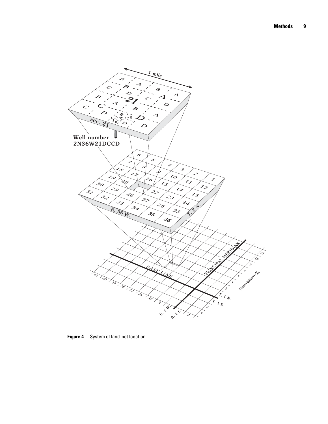

**Figure 4**. System of land-net location.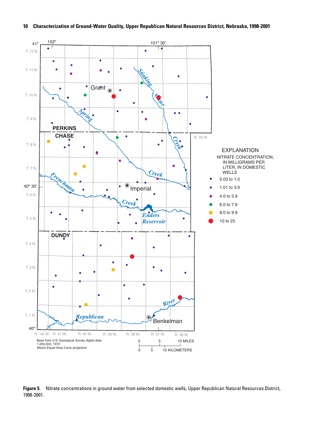

**Figure 5**. Nitrate concentrations in ground water from selected domestic wells, Upper Republican Natural Resources District, 1998-2001.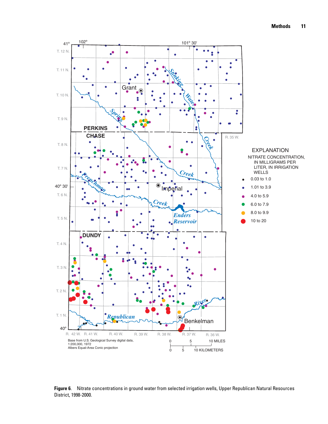

**Figure 6**. Nitrate concentrations in ground water from selected irrigation wells, Upper Republican Natural Resources District, 1998-2000.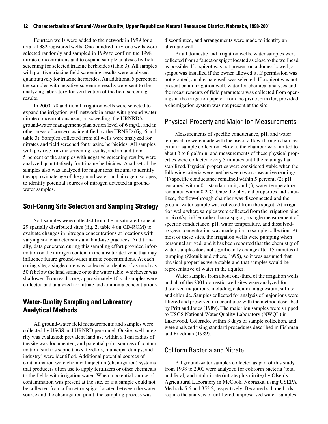Fourteen wells were added to the network in 1999 for a total of 382 registered wells. One-hundred fifty-one wells were selected randomly and sampled in 1999 to confirm the 1998 nitrate concentrations and to expand sample analyses by field screening for selected triazine herbicides (table 3). All samples with positive triazine field screening results were analyzed quantitatively for triazine herbicides. An additional 5 percent of the samples with negative screening results were sent to the analyzing laboratory for verification of the field screening results.

In 2000, 78 additional irrigation wells were selected to expand the irrigation-well network in areas with ground-water nitrate concentrations near, or exceeding, the URNRD's ground-water management-plan action level of 6 mg/L, and in other areas of concern as identified by the URNRD (fig. 6 and table 3). Samples collected from all wells were analyzed for nitrates and field screened for triazine herbicides. All samples with positive triazine screening results, and an additional 5 percent of the samples with negative screening results, were analyzed quantitatively for triazine herbicides. A subset of the samples also was analyzed for major ions; tritium, to identify the approximate age of the ground water; and nitrogen isotopes, to identify potential sources of nitrogen detected in groundwater samples.

#### <span id="page-17-0"></span>**Soil-Coring Site Selection and Sampling Strategy**

Soil samples were collected from the unsaturated zone at 29 spatially distributed sites (fig. 2; table 4 on CD-ROM) to evaluate changes in nitrogen concentrations at locations with varying soil characteristics and land-use practices. Additionally, data generated during this sampling effort provided information on the nitrogen content in the unsaturated zone that may influence future ground-water nitrate concentrations. At each coring site, a single core was collected at depths of as much as 50 ft below the land surface or to the water table, whichever was shallower. From each core, approximately 10 soil samples were collected and analyzed for nitrate and ammonia concentrations.

## <span id="page-17-1"></span>**Water-Quality Sampling and Laboratory Analytical Methods**

All ground-water field measurements and samples were collected by USGS and URNRD personnel. Onsite, well integrity was evaluated; prevalent land use within a 1-mi radius of the site was documented; and potential point sources of contamination (such as septic tanks, feedlots, municipal dumps, and industry) were identified. Additional potential sources of contamination were chemical injection (chemigation) systems that producers often use to apply fertilizers or other chemicals to the fields with irrigation water. When a potential source of contamination was present at the site, or if a sample could not be collected from a faucet or spigot located between the water source and the chemigation point, the sampling process was

discontinued, and arrangements were made to identify an alternate well.

At all domestic and irrigation wells, water samples were collected from a faucet or spigot located as close to the wellhead as possible. If a spigot was not present on a domestic well, a spigot was installed if the owner allowed it. If permission was not granted, an alternate well was selected. If a spigot was not present on an irrigation well, water for chemical analyses and the measurements of field parameters was collected from openings in the irrigation pipe or from the pivot/sprinkler, provided a chemigation system was not present at the site.

#### <span id="page-17-2"></span>Physical-Property and Major-Ion Measurements

Measurements of specific conductance, pH, and water temperature were made with the use of a flow-through chamber prior to sample collection. Flow to the chamber was limited to about 3 to 8 gal/min, and measurements of these physical properties were collected every 3 minutes until the readings had stabilized. Physical properties were considered stable when the following criteria were met between two consecutive readings: (1) specific conductance remained within 5 percent; (2) pH remained within 0.1 standard unit; and (3) water temperature remained within 0.2°C. Once the physical properties had stabilized, the flow-through chamber was disconnected and the ground-water sample was collected from the spigot. At irrigation wells where samples were collected from the irrigation pipe or pivot/sprinkler rather than a spigot, a single measurement of specific conductance, pH, water temperature, and dissolvedoxygen concentration was made prior to sample collection. At most of these sites, the irrigation wells were pumping when personnel arrived, and it has been reported that the chemistry of water samples does not significantly change after 15 minutes of pumping (Zlotnik and others, 1995), so it was assumed that physical properties were stable and that samples would be representative of water in the aquifer.

Water samples from about one-third of the irrigation wells and all of the 2001 domestic-well sites were analyzed for dissolved major ions, including calcium, magnesium, sulfate, and chloride. Samples collected for analysis of major ions were filtered and preserved in accordance with the method described by Pritt and Jones (1989). The major ion samples were shipped to USGS National Water Quality Laboratory (NWQL) in Lakewood, Colorado, within 3 days of sample collection, and were analyzed using standard procedures described in Fishman and Friedman (1989).

### <span id="page-17-3"></span>Coliform Bacteria and Nitrate

All ground-water samples collected as part of this study from 1998 to 2000 were analyzed for coliform bacteria (total and fecal) and total nitrate (nitrate plus nitrite) by Olsen's Agricultural Laboratory in McCook, Nebraska, using USEPA Methods 5.6 and 353.2, respectively. Because both methods require the analysis of unfiltered, unpreserved water, samples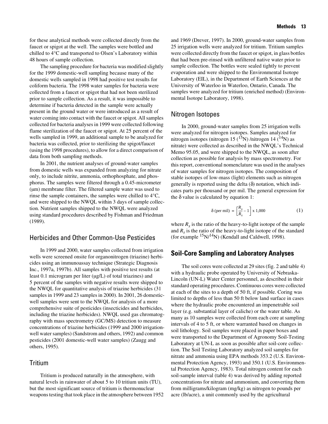for these analytical methods were collected directly from the faucet or spigot at the well. The samples were bottled and chilled to 4°C and transported to Olsen's Laboratory within 48 hours of sample collection.

The sampling procedure for bacteria was modified slightly for the 1999 domestic-well sampling because many of the domestic wells sampled in 1998 had positive test results for coliform bacteria. The 1998 water samples for bacteria were collected from a faucet or spigot that had not been sterilized prior to sample collection. As a result, it was impossible to determine if bacteria detected in the sample were actually present in the ground water or were introduced as a result of water coming into contact with the faucet or spigot. All samples collected for bacteria analyses in 1999 were collected following flame sterilization of the faucet or spigot. At 25 percent of the wells sampled in 1999, an additional sample to be analyzed for bacteria was collected, prior to sterilizing the spigot/faucet (using the 1998 procedures), to allow for a direct comparison of data from both sampling methods.

In 2001, the nutrient analyses of ground-water samples from domestic wells was expanded from analyzing for nitrate only, to include nitrite, ammonia, orthophosphate, and phosphorus. The samples were filtered through a 0.45-micrometer (µm) membrane filter. The filtered sample water was used to rinse the sample containers, the samples were chilled to 4°C, and were shipped to the NWQL within 3 days of sample collection. Nutrient samples shipped to the NWQL were analyzed using standard procedures described by Fishman and Friedman (1989).

## <span id="page-18-0"></span>Herbicides and Other Common-Use Pesticides

In 1999 and 2000, water samples collected from irrigation wells were screened onsite for organonitrogen (triazine) herbicides using an immunoassay technique (Strategic Diagnosis Inc., 1997a, 1997b). All samples with positive test results (at least 0.1 microgram per liter (µg/L) of total triazines) and 5 percent of the samples with negative results were shipped to the NWQL for quantitative analysis of triazine herbicides (31 samples in 1999 and 23 samples in 2000). In 2001, 26 domesticwell samples were sent to the NWQL for analysis of a more comprehensive suite of pesticides (insecticides and herbicides, including the triazine herbicides). NWQL used gas chromatography with mass spectrometry (GC/MS) detection to measure concentrations of triazine herbicides (1999 and 2000 irrigationwell water samples) (Sandstrom and others, 1992) and common pesticides (2001 domestic-well water samples) (Zaugg and others, 1995).

## <span id="page-18-1"></span>Tritium

Tritium is produced naturally in the atmosphere, with natural levels in rainwater of about 5 to 10 tritium units (TU), but the most significant source of tritium is thermonuclear weapons testing that took place in the atmosphere between 1952 and 1969 (Drever, 1997). In 2000, ground-water samples from 25 irrigation wells were analyzed for tritium. Tritium samples were collected directly from the faucet or spigot, in glass bottles that had been pre-rinsed with unfiltered native water prior to sample collection. The bottles were sealed tightly to prevent evaporation and were shipped to the Environmental Isotope Laboratory (EIL), in the Department of Earth Sciences at the University of Waterloo in Waterloo, Ontario, Canada. The samples were analyzed for tritium (enriched method) (Environmental Isotope Laboratory, 1998).

#### <span id="page-18-2"></span>Nitrogen Isotopes

In 2000, ground-water samples from 25 irrigation wells were analyzed for nitrogen isotopes. Samples analyzed for nitrogen isotopes (nitrogen 15  $(^{15}N)$  /nitrogen 14  $(^{14}N)$  as nitrate) were collected as described in the NWQL's Technical Memo 95.05, and were shipped to the NWQL, as soon after collection as possible for analysis by mass spectrometry. For this report, conventional nomenclature was used in the analyses of water samples for nitrogen isotopes. The composition of stable isotopes of low-mass (light) elements such as nitrogen generally is reported using the delta  $(\delta)$  notation, which indicates parts per thousand or per mil. The general expression for the  $\delta$  value is calculated by equation 1:

$$
\delta \text{ (per mil)} = \left[\frac{R_x}{R_s} - 1\right] \times 1,000\tag{1}
$$

where  $R<sub>x</sub>$  is the ratio of the heavy-to-light isotope of the sample and  $R<sub>s</sub>$  is the ratio of the heavy-to-light isotope of the standard (for example  $\frac{15}{N}$  $N^{14}$ N) (Kendall and Caldwell, 1998).

## <span id="page-18-3"></span>**Soil-Core Sampling and Laboratory Analyses**

The soil cores were collected at 29 sites (fig. 2 and table 4) with a hydraulic probe operated by University of Nebraska-Lincoln (UN-L) Water Center personnel, as described in their standard operating procedures. Continuous cores were collected at each of the sites to a depth of 50 ft, if possible. Coring was limited to depths of less than 50 ft below land surface in cases where the hydraulic probe encountered an impenetrable soil layer (e.g. substantial layer of caliche) or the water table. As many as 10 samples were collected from each core at sampling intervals of 4 to 5 ft, or where warranted based on changes in soil lithology. Soil samples were placed in paper boxes and were transported to the Department of Agronomy Soil-Testing Laboratory at UN-L as soon as possible after soil-core collection. The Soil Testing Laboratory analyzed soil samples for nitrate and ammonia using EPA methods 353.2 (U.S. Environmental Protection Agency, 1993) and 350.1 (U.S. Environmental Protection Agency, 1983). Total nitrogen content for each soil-sample interval (table 4) was derived by adding reported concentrations for nitrate and ammonium, and converting them from milligrams/kilogram (mg/kg) as nitrogen to pounds per acre (lb/acre), a unit commonly used by the agricultural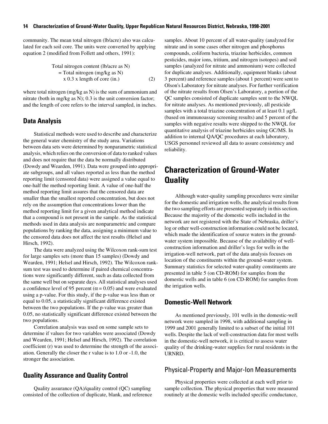community. The mean total nitrogen (lb/acre) also was calculated for each soil core. The units were converted by applying equation 2 (modified from Follett and others, 1991):

Total nitrogen content (lb/acre as N)  
= Total nitrogen (mg/kg as N)  

$$
x 0.3 x length of core (in.)
$$
 (2)

where total nitrogen (mg/kg as N) is the sum of ammonium and nitrate (both in mg/kg as N); 0.3 is the unit conversion factor; and the length of core refers to the interval sampled, in inches.

#### <span id="page-19-0"></span>**Data Analysis**

Statistical methods were used to describe and characterize the general water chemistry of the study area. Variations between data sets were determined by nonparametric statistical analysis, which relies on the conversion of data to ranked values and does not require that the data be normally distributed (Dowdy and Wearden, 1991). Data were grouped into appropriate subgroups, and all values reported as less than the method reporting limit (censored data) were assigned a value equal to one-half the method reporting limit. A value of one-half the method reporting limit assures that the censored data are smaller than the smallest reported concentration, but does not rely on the assumption that concentrations lower than the method reporting limit for a given analytical method indicate that a compound is not present in the sample. As the statistical methods used in data analysis are nonparametric and compare populations by ranking the data, assigning a minimum value to the censored data does not affect the test results (Helsel and Hirsch, 1992).

The data were analyzed using the Wilcoxon rank-sum test for large samples sets (more than 15 samples) (Dowdy and Wearden, 1991; Helsel and Hirsch, 1992). The Wilcoxon ranksum test was used to determine if paired chemical concentrations were significantly different, such as data collected from the same well but on separate days. All statistical analyses used a confidence level of 95 percent ( $\alpha$  = 0.05) and were evaluated using a p-value. For this study, if the p-value was less than or equal to 0.05, a statistically significant difference existed between the two populations. If the p-value was greater than 0.05, no statistically significant difference existed between the two populations.

Correlation analysis was used on some sample sets to determine if values for two variables were associated (Dowdy and Wearden, 1991; Helsel and Hirsch, 1992). The correlation coefficient (r) was used to determine the strength of the association. Generally the closer the r value is to 1.0 or -1.0, the stronger the association.

#### <span id="page-19-1"></span>**Quality Assurance and Quality Control**

Quality assurance (QA)/quality control (QC) sampling consisted of the collection of duplicate, blank, and reference samples. About 10 percent of all water-quality (analyzed for nitrate and in some cases other nitrogen and phosphorus compounds, coliform bacteria, triazine herbicides, common pesticides, major ions, tritium, and nitrogen isotopes) and soil samples (analyzed for nitrate and ammonium) were collected for duplicate analyses. Additionally, equipment blanks (about 3 percent) and reference samples (about 1 percent) were sent to Olson's Laboratory for nitrate analyses. For further verification of the nitrate results from Olsen's Laboratory, a portion of the QC samples consisted of duplicate samples sent to the NWQL for nitrate analyses. As mentioned previously, all pesticide samples with a total triazine concentration of at least 0.1  $\mu$ g/L (based on immunoassay screening results) and 5 percent of the samples with negative results were shipped to the NWQL for quantitative analysis of triazine herbicides using GC/MS. In addition to internal QA/QC procedures at each laboratory, USGS personnel reviewed all data to assure consistency and reliability.

# <span id="page-19-2"></span>**Characterization of Ground-Water Quality**

Although water-quality sampling procedures were similar for the domestic and irrigation wells, the analytical results from the two sampling efforts are presented separately in this section. Because the majority of the domestic wells included in the network are not registered with the State of Nebraska, driller's log or other well-construction information could not be located, which made the identification of source waters in the groundwater system impossible. Because of the availability of wellconstruction information and driller's logs for wells in the irrigation-well network, part of the data analysis focuses on location of the constituents within the ground-water system. Summary statistics for selected water-quality constituents are presented in table 5 (on CD-ROM) for samples from the domestic wells and in table 6 (on CD-ROM) for samples from the irrigation wells.

#### <span id="page-19-3"></span>**Domestic-Well Network**

As mentioned previously, 101 wells in the domestic-well network were sampled in 1998, with additional sampling in 1999 and 2001 generally limited to a subset of the initial 101 wells. Despite the lack of well-construction data for most wells in the domestic-well network, it is critical to assess water quality of the drinking-water supplies for rural residents in the URNRD.

#### <span id="page-19-4"></span>Physical-Property and Major-Ion Measurements

Physical properties were collected at each well prior to sample collection. The physical properties that were measured routinely at the domestic wells included specific conductance,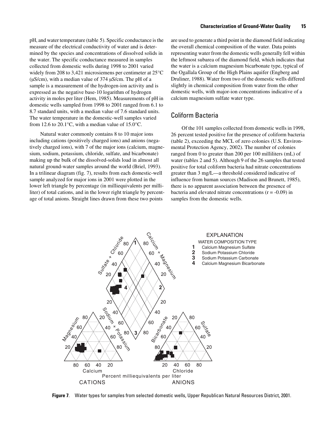pH, and water temperature (table 5). Specific conductance is the measure of the electrical conductivity of water and is determined by the species and concentrations of dissolved solids in the water. The specific conductance measured in samples collected from domestic wells during 1998 to 2001 varied widely from 208 to 3,421 microsiemens per centimeter at 25°C (µS/cm), with a median value of 374 µS/cm. The pH of a sample is a measurement of the hydrogen-ion activity and is expressed as the negative base-10 logarithm of hydrogen activity in moles per liter (Hem, 1985). Measurements of pH in domestic wells sampled from 1998 to 2001 ranged from 6.1 to 8.7 standard units, with a median value of 7.6 standard units. The water temperature in the domestic-well samples varied from 12.6 to 20.1°C, with a median value of 15.0°C.

Natural water commonly contains 8 to 10 major ions including cations (positively charged ions) and anions (negatively charged ions), with 7 of the major ions (calcium, magnesium, sodium, potassium, chloride, sulfate, and bicarbonate) making up the bulk of the dissolved-solids load in almost all natural ground-water samples around the world (Briel, 1993). In a trilinear diagram (fig. 7), results from each domestic-well sample analyzed for major ions in 2001 were plotted in the lower left triangle by percentage (in milliequivalents per milliliter) of total cations, and in the lower right triangle by percentage of total anions. Straight lines drawn from these two points

are used to generate a third point in the diamond field indicating the overall chemical composition of the water. Data points representing water from the domestic wells generally fell within the leftmost subarea of the diamond field, which indicates that the water is a calcium magnesium bicarbonate type, typical of the Ogallala Group of the High Plains aquifer (Engberg and Druliner, 1988). Water from two of the domestic wells differed slightly in chemical composition from water from the other domestic wells, with major-ion concentrations indicative of a calcium magnesium sulfate water type.

## <span id="page-20-0"></span>Coliform Bacteria

Of the 101 samples collected from domestic wells in 1998, 26 percent tested positive for the presence of coliform bacteria (table 2), exceeding the MCL of zero colonies (U.S. Environmental Protection Agency, 2002). The number of colonies ranged from 0 to greater than 200 per 100 milliliters (mL) of water (tables 2 and 5). Although 9 of the 26 samples that tested positive for total coliform bacteria had nitrate concentrations greater than 3 mg/L—a threshold considered indicative of influence from human sources (Madison and Brunett, 1985), there is no apparent association between the presence of bacteria and elevated nitrate concentrations  $(r = -0.09)$  in samples from the domestic wells.



**Figure 7**. Water types for samples from selected domestic wells, Upper Republican Natural Resources District, 2001.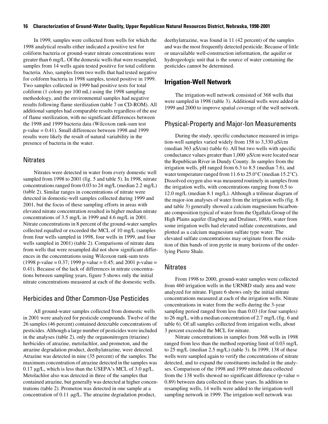In 1999, samples were collected from wells for which the 1998 analytical results either indicated a positive test for coliform bacteria or ground-water nitrate concentrations were greater than 6 mg/L. Of the domestic wells that were resampled, samples from 14 wells again tested positive for total coliform bacteria. Also, samples from two wells that had tested negative for coliform bacteria in 1998 samples, tested positive in 1999. Two samples collected in 1999 had positive tests for total coliform (1 colony per 100 mL) using the 1998 sampling methodology, and the environmental samples had negative results following flame sterilization (table 7 on CD-ROM). All additional samples had comparable results regardless of the use of flame sterilization, with no significant differences between the 1998 and 1999 bacteria data (Wilcoxon rank-sum test p-value = 0.41). Small differences between 1998 and 1999 results were likely the result of natural variability in the presence of bacteria in the water.

#### <span id="page-21-0"></span>**Nitrates**

Nitrates were detected in water from every domestic well sampled from 1998 to 2001 (fig. 5 and table 5). In 1998, nitrate concentrations ranged from 0.03 to 24 mg/L (median 2.2 mg/L) (table 2). Similar ranges in concentrations of nitrate were detected in domestic-well samples collected during 1999 and 2001, but the focus of these sampling efforts in areas with elevated nitrate concentration resulted in higher median nitrate concentrations of 3.5 mg/L in 1999 and 4.6 mg/L in 2001. Nitrate concentrations in 8 percent of the ground-water samples collected equalled or exceeded the MCL of 10 mg/L (samples from four wells sampled in 1998, four wells in 1999, and four wells sampled in 2001) (table 2). Comparisons of nitrate data from wells that were resampled did not show significant differences in the concentrations using Wilcoxon rank-sum tests  $(1998 \text{ p-value} = 0.37; 1999 \text{ p-value} = 0.45; \text{ and } 2001 \text{ p-value} =$ 0.41). Because of the lack of differences in nitrate concentrations between sampling years, figure 5 shows only the initial nitrate concentrations measured at each of the domestic wells.

### <span id="page-21-1"></span>Herbicides and Other Common-Use Pesticides

All ground-water samples collected from domestic wells in 2001 were analyzed for pesticide compounds. Twelve of the 26 samples (46 percent) contained detectable concentrations of pesticides. Although a large number of pesticides were included in the analyses (table 2), only the organonitrogen (triazine) herbicides of atrazine, metolachlor, and prometon, and the atrazine degradation product, deethylatrazine, were detected. Atrazine was detected in nine (35 percent) of the samples. The maximum concentration of atrazine detected in the samples was 0.17 µg/L, which is less than the USEPA's MCL of 3.0 µg/L. Metolachlor also was detected in three of the samples that contained atrazine, but generally was detected at higher concentrations (table 2). Prometon was detected in one sample at a concentration of 0.11 µg/L. The atrazine degradation product,

deethylatrazine, was found in 11 (42 percent) of the samples and was the most frequently detected pesticide. Because of little or unavailable well-construction information, the aquifer or hydrogeologic unit that is the source of water containing the pesticides cannot be determined.

#### <span id="page-21-2"></span>**Irrigation-Well Network**

The irrigation-well network consisted of 368 wells that were sampled in 1998 (table 3). Additional wells were added in 1999 and 2000 to improve spatial coverage of the well network.

#### <span id="page-21-3"></span>Physical-Property and Major-Ion Measurements

During the study, specific conductance measured in irrigation-well samples varied widely from 158 to 3,330 µS/cm (median 363 µS/cm) (table 6). All but two wells with specific conductance values greater than 1,000 µS/cm were located near the Republican River in Dundy County. In samples from the irrigation wells, pH ranged from 6.3 to 8.5 (median 7.6), and water temperature ranged from 11.6 to 25.0°C (median 15.2°C). Dissolved oxygen also was measured routinely in samples from the irrigation wells, with concentrations ranging from 0.5 to 12.0 mg/L (median 8.1 mg/L). Although a trilinear diagram of the major-ion analyses of water from the irrigation wells (fig. 8 and table 3) generally showed a calcium magnesium bicarbonate composition typical of water from the Ogallala Group of the High Plains aquifer (Engberg and Druliner, 1988), water from some irrigation wells had elevated sulfate concentrations, and plotted as a calcium magnesium sulfate type water. The elevated sulfate concentrations may originate from the oxidation of thin bands of iron pyrite in many horizons of the underlying Pierre Shale.

#### <span id="page-21-4"></span>**Nitrates**

From 1998 to 2000, ground-water samples were collected from 460 irrigation wells in the URNRD study area and were analyzed for nitrate. Figure 6 shows only the initial nitrate concentrations measured at each of the irrigation wells. Nitrate concentrations in water from the wells during the 3-year sampling period ranged from less than 0.03 (for four samples) to 26 mg/L, with a median concentration of 2.7 mg/L (fig. 6 and table 6). Of all samples collected from irrigation wells, about 3 percent exceeded the MCL for nitrate.

Nitrate concentrations in samples from 368 wells in 1998 ranged from less than the method reporting limit of 0.03 mg/L to 25 mg/L (median 2.5 mg/L) (table 3). In 1999, 138 of these wells were sampled again to verify the concentrations of nitrate detected, and to expand the constituents included in the analyses. Comparison of the 1998 and 1999 nitrate data collected from the 138 wells showed no significant difference (p-value = 0.89) between data collected in those years. In addition to resampling wells, 14 wells were added to the irrigation-well sampling network in 1999. The irrigation-well network was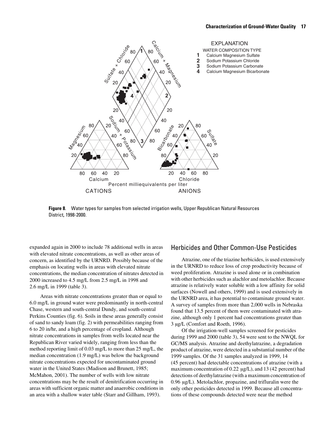

**Figure 8**. Water types for samples from selected irrigation wells, Upper Republican Natural Resources District, 1998-2000.

expanded again in 2000 to include 78 additional wells in areas with elevated nitrate concentrations, as well as other areas of concern, as identified by the URNRD. Possibly because of the emphasis on locating wells in areas with elevated nitrate concentrations, the median concentration of nitrates detected in 2000 increased to 4.5 mg/L from 2.5 mg/L in 1998 and 2.6 mg/L in 1999 (table 3).

Areas with nitrate concentrations greater than or equal to 6.0 mg/L in ground water were predominantly in north-central Chase, western and south-central Dundy, and south-central Perkins Counties (fig. 6). Soils in these areas generally consist of sand to sandy loam (fig. 2) with permeabilities ranging from 6 to 20 in/hr, and a high percentage of cropland. Although nitrate concentrations in samples from wells located near the Republican River varied widely, ranging from less than the method reporting limit of 0.03 mg/L to more than 25 mg/L, the median concentration (1.9 mg/L) was below the background nitrate concentrations expected for uncontaminated ground water in the United States (Madison and Brunett, 1985; McMahon, 2001). The number of wells with low nitrate concentrations may be the result of denitrification occurring in areas with sufficient organic matter and anaerobic conditions in an area with a shallow water table (Starr and Gillham, 1993).

#### <span id="page-22-0"></span>Herbicides and Other Common-Use Pesticides

Atrazine, one of the triazine herbicides, is used extensively in the URNRD to reduce loss of crop productivity because of weed proliferation. Atrazine is used alone or in combination with other herbicides such as alachlor and metolachlor. Because atrazine is relatively water soluble with a low affinity for solid surfaces (Nowell and others, 1999) and is used extensively in the URNRD area, it has potential to contaminate ground water. A survey of samples from more than 2,000 wells in Nebraska found that 13.5 percent of them were contaminated with atrazine, although only 1 percent had concentrations greater than 3 µg/L (Comfort and Roeth, 1996).

Of the irrigation-well samples screened for pesticides during 1999 and 2000 (table 3), 54 were sent to the NWQL for GC/MS analysis. Atrazine and deethylatrazine, a degradation product of atrazine, were detected in a substantial number of the 1999 samples. Of the 31 samples analyzed in 1999, 14 (45 percent) had detectable concentrations of atrazine (with a maximum concentration of 0.22  $\mu$ g/L), and 13 (42 percent) had detections of deethylatrazine (with a maximum concentration of 0.96 µg/L). Metolachlor, propazine, and trifluralin were the only other pesticides detected in 1999. Because all concentrations of these compounds detected were near the method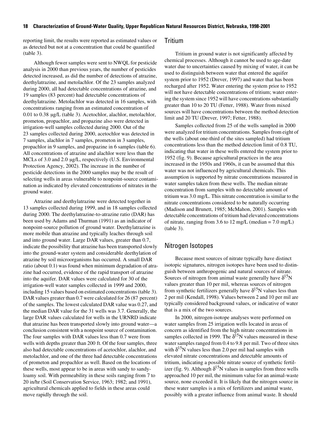reporting limit, the results were reported as estimated values or as detected but not at a concentration that could be quantified (table 3).

Although fewer samples were sent to NWQL for pesticide analysis in 2000 than previous years, the number of pesticides detected increased, as did the number of detections of atrazine, deethylatrazine, and metolachlor. Of the 23 samples analyzed during 2000, all had detectable concentrations of atrazine, and 19 samples (83 percent) had detectable concentrations of deethylatrazine. Metolachlor was detected in 16 samples, with concentrations ranging from an estimated concentration of 0.01 to 0.38 µg/L (table 3). Acetochlor, alachlor, metolachlor, prometon, propachlor, and propazine also were detected in irrigation-well samples collected during 2000. Out of the 23 samples collected during 2000, acetochlor was detected in 7 samples, alachlor in 7 samples, prometon in 3 samples, propachlor in 9 samples, and propazine in 6 samples (table 6). All concentrations of atrazine and alachlor were less than the MCLs of 3.0 and 2.0  $\mu$ g/L, respectively (U.S. Environmental Protection Agency, 2002). The increase in the number of pesticide detections in the 2000 samples may be the result of selecting wells in areas vulnerable to nonpoint-source contamination as indicated by elevated concentrations of nitrates in the ground water.

Atrazine and deethylatrazine were detected together in 13 samples collected during 1999, and in 18 samples collected during 2000. The deethylatrazine-to-atrazine ratio (DAR) has been used by Adams and Thurman (1991) as an indicator of nonpoint-source pollution of ground water. Deethylatrazine is more mobile than atrazine and typically leaches through soil and into ground water. Large DAR values, greater than 0.7, indicate the possibility that atrazine has been transported slowly into the ground-water system and considerable deethylation of atrazine by soil microorganisms has occurred. A small DAR ratio (about 0.1) was found when minimum degradation of atrazine had occurred, evidence of the rapid transport of atrazine into the aquifer. DAR values were calculated for 30 of the irrigation-well water samples collected in 1999 and 2000, including 15 values based on estimated concentrations (table 3). DAR values greater than 0.7 were calculated for 26 (87 percent) of the samples. The lowest calculated DAR value was 0.27, and the median DAR value for the 31 wells was 3.7. Generally, the large DAR values calculated for wells in the URNRD indicate that atrazine has been transported slowly into ground water—a conclusion consistent with a nonpoint source of contamination. The four samples with DAR values less than 0.7 were from wells with depths greater than 200 ft. Of the four samples, three also had detectable concentrations of acetochlor, alachlor, and metolachlor, and one of the three had detectable concentrations of prometon and propachlor as well. Based on the locations of these wells, most appear to be in areas with sandy to sandyloamy soil. With permeability in these soils ranging from 7 to 20 in/hr (Soil Conservation Service, 1963; 1982; and 1991), agricultural chemicals applied to fields in these areas could move rapidly through the soil.

#### <span id="page-23-0"></span>Tritium

Tritium in ground water is not significantly affected by chemical processes. Although it cannot be used to age-date water due to uncertainties caused by mixing of water, it can be used to distinguish between water that entered the aquifer system prior to 1952 (Drever, 1997) and water that has been recharged after 1952. Water entering the system prior to 1952 will not have detectable concentrations of tritium; water entering the system since 1952 will have concentrations substantially greater than 10 to 20 TU (Fetter, 1988). Water from mixed sources will have concentrations between the method detection limit and 20 TU (Drever, 1997; Fetter, 1988).

Samples collected from 25 of the wells sampled in 2000 were analyzed for tritium concentrations. Samples from eight of the wells (about one-third of the sites sampled) had tritium concentrations less than the method detection limit of 0.8 TU, indicating that water in these wells entered the system prior to 1952 (fig. 9). Because agricultural practices in the area increased in the 1950s and 1960s, it can be assumed that this water was not influenced by agricultural chemicals. This assumption is supported by nitrate concentrations measured in water samples taken from these wells. The median nitrate concentration from samples with no detectable amount of tritium was 3.0 mg/L. This nitrate concentration is similar to the nitrate concentrations considered to be naturally occurring (Madison and Brunett, 1985; McMahon, 2001). Samples with detectable concentrations of tritium had elevated concentrations of nitrate, ranging from 3.6 to 12 mg/L (median  $= 7.0$  mg/L) (table 3).

### <span id="page-23-1"></span>Nitrogen Isotopes

Because most sources of nitrate typically have distinct isotopic signatures, nitrogen isotopes have been used to distinguish between anthropogenic and natural sources of nitrate. Sources of nitrogen from animal waste generally have  $\delta^{15}N$ values greater than 10 per mil, whereas sources of nitrogen from synthetic fertilizers generally have  $\delta^{15}N$  values less than 2 per mil (Kendall, 1998). Values between 2 and 10 per mil are typically considered background values, or indicative of water that is a mix of the two sources.

In 2000, nitrogen-isotope analyses were performed on water samples from 25 irrigation wells located in areas of concern as identified from the high nitrate concentrations in samples collected in 1999. The  $\delta^{15}N$  values measured in these water samples ranged from 0.4 to 9.8 per mil. Two of three sites with  $\delta^{15}N$  values less than 2.0 per mil had samples with elevated nitrate concentrations and detectable amounts of tritium, indicating a possible nitrate source of synthetic fertilizer (fig. 9). Although  $\delta^{15}N$  values in samples from three wells approached 10 per mil, the minimum value for an animal-waste source, none exceeded it. It is likely that the nitrogen source in these water samples is a mix of fertilizers and animal waste, possibly with a greater influence from animal waste. It should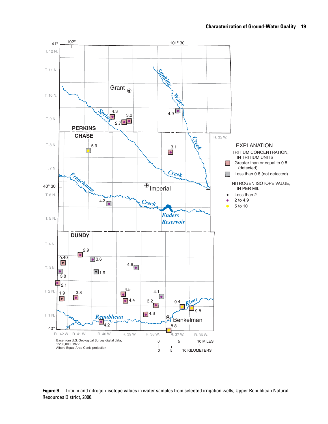

**Figure 9**. Tritium and nitrogen-isotope values in water samples from selected irrigation wells, Upper Republican Natural Resources District, 2000.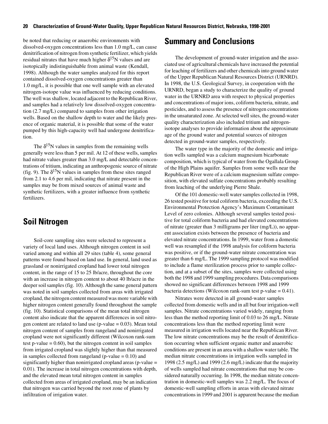be noted that reducing or anaerobic environments with dissolved-oxygen concentrations less than 1.0 mg/L, can cause denitrification of nitrogen from synthetic fertilizer, which yields residual nitrates that have much higher  $\delta^{15}N$  values and are isotopically indistinguishable from animal waste (Kendall, 1998). Although the water samples analyzed for this report contained dissolved-oxygen concentrations greater than 1.0 mg/L, it is possible that one well sample with an elevated nitrogen-isotope value was influenced by reducing conditions. The well was shallow, located adjacent to the Republican River, and samples had a relatively low dissolved-oxygen concentration (2.7 mg/L) compared to samples from other irrigation wells. Based on the shallow depth to water and the likely presence of organic material, it is possible that some of the water pumped by this high-capacity well had undergone denitrification.

The  $\delta^{15}$ N values in samples from the remaining wells generally were less than 5 per mil. At 12 of these wells, samples had nitrate values greater than 3.0 mg/L and detectable concentrations of tritium, indicating an anthropogenic source of nitrate (fig. 9). The  $\delta^{15}N$  values in samples from these sites ranged from 2.1 to 4.6 per mil, indicating that nitrate present in the samples may be from mixed sources of animal waste and synthetic fertilizers, with a greater influence from synthetic fertilizers.

# <span id="page-25-0"></span>**Soil Nitrogen**

Soil-core sampling sites were selected to represent a variety of local land uses. Although nitrogen content in soil varied among and within all 29 sites (table 4), some general patterns were found based on land use. In general, land used as grassland or nonirrigated cropland had lower total nitrogen content, in the range of 15 to 25 lb/acre, throughout the core with an increase in nitrogen content to about 40 lb/acre in the deeper soil samples (fig. 10). Although the same general pattern was noted in soil samples collected from areas with irrigated cropland, the nitrogen content measured was more variable with higher nitrogen content generally found throughout the sample (fig. 10). Statistical comparisons of the mean total nitrogen content also indicate that the apparent differences in soil nitrogen content are related to land use ( $p$ -value = 0.03). Mean total nitrogen content of samples from rangeland and nonirrigated cropland were not significantly different (Wilcoxon rank-sum test p-value  $= 0.60$ ), but the nitrogen content in soil samples from irrigated cropland was slightly higher than that measured in samples collected from rangeland ( $p$ -value = 0.10) and significantly higher than nonirrigated cropland areas (p-value = 0.01). The increase in total nitrogen concentrations with depth, and the elevated mean total nitrogen content in samples collected from areas of irrigated cropland, may be an indication that nitrogen was carried beyond the root zone of plants by infiltration of irrigation water.

## <span id="page-25-1"></span>**Summary and Conclusions**

The development of ground-water irrigation and the associated use of agricultural chemicals have increased the potential for leaching of fertilizers and other chemicals into ground water of the Upper Republican Natural Resources District (URNRD). In 1998, the U.S. Geological Survey, in cooperation with the URNRD, began a study to characterize the quality of ground water in the URNRD area with respect to physical properties and concentrations of major ions, coliform bacteria, nitrate, and pesticides, and to assess the presence of nitrogen concentrations in the unsaturated zone. At selected well sites, the ground-water quality characterization also included tritium and nitrogenisotope analyses to provide information about the approximate age of the ground water and potential sources of nitrogen detected in ground-water samples, respectively.

The water type in the majority of the domestic and irrigation wells sampled was a calcium magnesium bicarbonate composition, which is typical of water from the Ogallala Group of the High Plains aquifer. Samples from some wells near the Republican River were of a calcium magnesium sulfate composition, with elevated sulfate concentrations probably resulting from leaching of the underlying Pierre Shale.

Of the 101 domestic-well water samples collected in 1998, 26 tested positive for total coliform bacteria, exceeding the U.S. Environmental Protection Agency's Maximum Contaminant Level of zero colonies. Although several samples tested positive for total coliform bacteria and had elevated concentrations of nitrate (greater than 3 milligrams per liter (mg/L)), no apparent association exists between the presence of bacteria and elevated nitrate concentrations. In 1999, water from a domestic well was resampled if the 1998 analysis for coliform bacteria was positive, or if the ground-water nitrate concentration was greater than 6 mg/L. The 1999 sampling protocol was modified to include a flame sterilization process prior to sample collection, and at a subset of the sites, samples were collected using both the 1998 and 1999 sampling procedures. Data comparisons showed no significant differences between 1998 and 1999 bacteria detections (Wilcoxon rank-sum test p-value  $= 0.41$ ).

Nitrates were detected in all ground-water samples collected from domestic wells and in all but four irrigation-well samples. Nitrate concentrations varied widely, ranging from less than the method reporting limit of 0.03 to 26 mg/L. Nitrate concentrations less than the method reporting limit were measured in irrigation wells located near the Republican River. The low nitrate concentrations may be the result of denitrification occurring when sufficient organic matter and anaerobic conditions are present in an area with a shallow water table. The median nitrate concentrations in irrigation wells sampled in 1998 (2.5 mg/L) and 1999 (2.6 mg/L) indicate that the majority of wells sampled had nitrate concentrations that may be considered naturally occurring. In 1998, the median nitrate concentration in domestic-well samples was 2.2 mg/L. The focus of domestic-well sampling efforts in areas with elevated nitrate concentrations in 1999 and 2001 is apparent because the median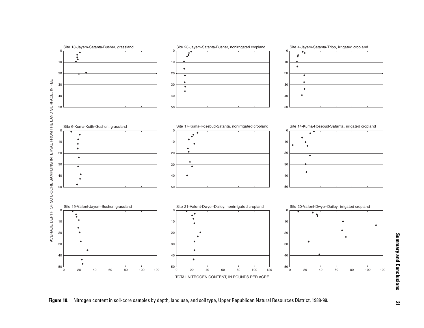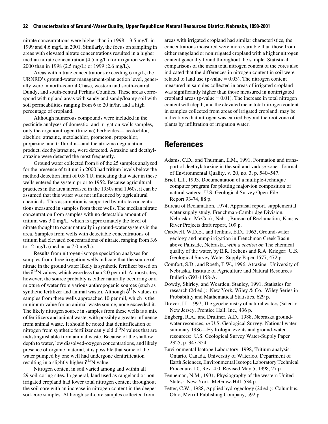nitrate concentrations were higher than in 1998—3.5 mg/L in 1999 and 4.6 mg/L in 2001. Similarly, the focus on sampling in areas with elevated nitrate concentrations resulted in a higher median nitrate concentration (4.5 mg/L) for irrigation wells in 2000 than in 1998 (2.5 mg/L) or 1999 (2.6 mg/L).

Areas with nitrate concentrations exceeding 6 mg/L, the URNRD's ground-water management-plan action level, generally were in north-central Chase, western and south-central Dundy, and south-central Perkins Counties. These areas correspond with upland areas with sandy and sandy/loamy soil with soil permeabilities ranging from 6 to 20 in/hr, and a high percentage of cropland.

Although numerous compounds were included in the pesticide analyses of domestic- and irrigation-wells samples, only the organonitrogen (triazine) herbicides— acetochlor, alachlor, atrazine, metolachlor, prometon, propachlor, propazine, and trifluralin—and the atrazine degradation product, deethylatrazine, were detected. Atrazine and deethylatrazine were detected the most frequently.

Ground water collected from 8 of the 25 samples analyzed for the presence of tritium in 2000 had tritium levels below the method detection limit of 0.8 TU, indicating that water in these wells entered the system prior to 1952. Because agricultural practices in the area increased in the 1950s and 1960s, it can be assumed that this water was not influenced by agricultural chemicals. This assumption is supported by nitrate concentrations measured in samples from these wells. The median nitrate concentration from samples with no detectable amount of tritium was 3.0 mg/L, which is approximately the level of nitrate thought to occur naturally in ground-water systems in the area. Samples from wells with detectable concentrations of tritium had elevated concentrations of nitrate, ranging from 3.6 to  $12 \text{ mg/L}$  (median =  $7.0 \text{ mg/L}$ ).

Results from nitrogen-isotope speciation analyses for samples from three irrigation wells indicate that the source of nitrate in the ground water likely is synthetic fertilizer based on the  $\delta^{15}N$  values, which were less than 2.0 per mil. At most sites, however, the source probably is either naturally occurring or a mixture of water from various anthropogenic sources (such as synthetic fertilizer and animal waste). Although  $\delta^{15}N$  values in samples from three wells approached 10 per mil, which is the minimum value for an animal-waste source, none exceeded it. The likely nitrogen source in samples from these wells is a mix of fertilizers and animal waste, with possibly a greater influence from animal waste. It should be noted that denitrification of nitrogen from synthetic fertilizer can yield  $\delta^{15}N$  values that are indistinguishable from animal waste. Because of the shallow depth to water, low dissolved-oxygen concentrations, and likely presence of organic material, it is possible that some of the water pumped by one well had undergone denitrification resulting in a slightly higher  $\delta^{15}N$  value.

Nitrogen content in soil varied among and within all 29 soil-coring sites. In general, land used as rangeland or nonirrigated cropland had lower total nitrogen content throughout the soil core with an increase in nitrogen content in the deeper soil-core samples. Although soil-core samples collected from

areas with irrigated cropland had similar characteristics, the concentrations measured were more variable than those from either rangeland or nonirrigated cropland with a higher nitrogen content generally found throughout the sample. Statistical comparisons of the mean total nitrogen content of the cores also indicated that the differences in nitrogen content in soil were related to land use ( $p$ -value = 0.03). The nitrogen content measured in samples collected in areas of irrigated cropland was significantly higher than those measured in nonirrigated cropland areas ( $p$ -value = 0.01). The increase in total nitrogen content with depth, and the elevated mean total nitrogen content in samples collected from areas of irrigated cropland, may be indications that nitrogen was carried beyond the root zone of plants by infiltration of irrigation water.

## <span id="page-27-0"></span>**References**

- Adams, C.D., and Thurman, E.M., 1991, Formation and transport of deethylatrazine in the soil and vadose zone: Journal of Environmental Quality, v. 20, no. 3, p. 540–547.
- Briel, L.I., 1993, Documentation of a multiple-technique computer program for plotting major-ion composition of natural waters: U.S. Geological Survey Open-File Report 93-74, 88 p.
- Bureau of Reclamation, 1974, Appraisal report, supplemental water supply study, Frenchman-Cambridge Division, Nebraska: McCook, Nebr., Bureau of Reclamation, Kansas River Projects draft report, 109 p.
- Cardwell, W.D.E., and Jenkins, E.D., 1963, Ground-water geology and pump irrigation in Frenchman Creek Basin above Palisade, Nebraska, *with a section on* The chemical quality of the water, by E.R. Jochens and R.A. Krieger: U.S. Geological Survey Water-Supply Paper 1577, 472 p.
- Comfort, S.D., and Roeth, F.W., 1996, Atrazine: University of Nebraska, Institute of Agriculture and Natural Resources Bulletin G93-1158-A.
- Dowdy, Shirley, and Wearden, Stanley, 1991, Statistics for research (2d ed.): New York, Wiley & Co., Wiley Series in Probability and Mathematical Statistics, 629 p.
- Drever, J.I., 1997, The geochemistry of natural waters (3d ed.): New Jersey, Prentice Hall, Inc., 436 p.
- Engberg, R.A., and Druliner, A.D., 1988, Nebraska groundwater resources, *in* U.S. Geological Survey, National water summary 1986—Hydrologic events and ground-water resources: U.S. Geological Survey Water-Supply Paper 2325, p. 347-354.
- Environmental Isotope Laboratory, 1998, Tritium analysis: Ontario, Canada, University of Waterloo, Department of Earth Sciences, Environmental Isotope Laboratory Technical Procedure 1.0, Rev. 4.0, Revised May 5, 1998, 27 p.
- Fenneman, N.M., 1931, Physiography of the western United States: New York, McGraw-Hill, 534 p.
- Fetter, C.W., 1988, Applied hydrogeology (2d ed.): Columbus, Ohio, Merrill Publishing Company, 592 p.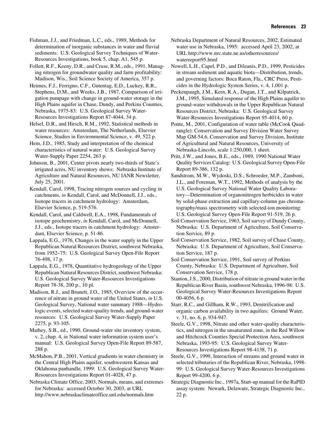Fishman, J.J., and Friedman, L.C., eds., 1989, Methods for determination of inorganic substances in water and fluvial sediments: U.S. Geological Survey Techniques of Water-Resources Investigations, book 5, chap. A1, 545 p.

Follett, R.F., Keeny, D.R., and Cruse, R.M., eds., 1991, Managing nitrogen for groundwater quality and farm profitability: Madison, Wis., Soil Science Society of America, 357 p.

Heimes, F.J., Ferrigno, C.F., Gutentag, E.D., Luckey, R.R., Stephens, D.M., and Weeks, J.B., 1987, Comparison of irrigation pumpage with change in ground-water storage in the High Plains aquifer in Chase, Dundy, and Perkins Counties, Nebraska, 1975-83: U.S. Geological Survey Water-Resources Investigations Report 87-4044, 34 p.

Helsel, D.R., and Hirsch, R.M., 1992, Statistical methods in water resources: Amsterdam, The Netherlands, Elsevier Science, Studies in Environmental Science, v. 49, 522 p.

Hem, J.D., 1985, Study and interpretation of the chemical characteristics of natural water: U.S. Geological Survey Water-Supply Paper 2254, 263 p.

Johnson, B., 2001, Center pivots nearly two-thirds of State's irrigated acres, NU inventory shows: Nebraska Institute of Agriculture and Natural Resources, NU IANR Newsletter, July 25, 2001.

Kendall, Carol, 1998, Tracing nitrogen sources and cycling in catchments, *in* Kendall, Carol, and McDonnell, J.J., eds., Isotope tracers in catchment hydrology: Amsterdam, Elsevier Science, p. 519-576.

Kendall, Carol, and Caldwell, E.A., 1998, Fundamentals of isotope geochemistry, *in* Kendall, Carol, and McDonnell, J.J., eds., Isotope tracers in catchment hydrology: Amsterdam, Elsevier Science, p. 51-86.

Lappala, E.G., 1976, Changes in the water supply in the Upper Republican Natural Resources District, southwest Nebraska, from 1952–75: U.S. Geological Survey Open-File Report 76-498, 17 p.

Lappala, E.G., 1978, Quantitative hydrogeology of the Upper Republican Natural Resources District, southwest Nebraska: U.S. Geological Survey Water-Resources Investigations Report 78-38, 200 p., 10 pl.

Madison, R.J., and Brunett, J.O., 1985, Overview of the occurrence of nitrate in ground water of the United States, *in* U.S. Geological Survey, National water summary 1988—Hydrologic events, selected water-quality trends, and ground-water resources: U.S. Geological Survey Water-Supply Paper 2275, p. 93-105.

Mathey, S.B., ed., 1990, Ground-water site inventory system, v. 2, chap. 4, *in* National water information system user's manual: U.S. Geological Survey Open-File Report 89-587, 288 p.

McMahon, P.B., 2001, Vertical gradients in water chemistry in the Central High Plains aquifer, southwestern Kansas and Oklahoma panhandle, 1999: U.S. Geological Survey Water-Resources Investigations Report 01-4028, 47 p.

Nebraska Climate Office, 2003, Normals, means, and extremes for Nebraska: accessed October 30, 2003, at URL http://www.nebraskaclimateoffice.unl.edu/normals.htm

Nebraska Department of Natural Resources, 2002, Estimated water use in Nebraska, 1995: accessed April 23, 2002, at URL http://www.nrc.state.ne.us/otherresources/ waterreport95.html

Nowell, L.H., Capel, P.D., and Dileanis, P.D., 1999, Pesticides in stream sediment and aquatic biota—Distribution, trends, and governing factors: Boca Raton, Fla., CRC Press, Pesticides in the Hydrologic System Series, v. 4, 1,001 p.

Peckenpaugh, J.M., Kern, R.A., Dugan, J.T., and Kilpatrick, J.M., 1995, Simulated response of the High Plains aquifer to ground-water withdrawals in the Upper Republican Natural Resources District, Nebraska: U.S. Geological Survey Water-Resources Investigations Report 95-4014, 60 p.

Ponte, M., 2001, Configuration of water table (McCook Quadrangle): Conservation and Survey Division Water Survey Map GM-54.6, Conservation and Survey Division, Institute of Agricultural and Natural Resources, University of Nebraska-Lincoln, scale 1:250,000, 1 sheet.

Pritt, J.W., and Jones, B.E., eds., 1989, 1990 National Water Quality Services Catalog: U.S. Geological Survey Open-File Report 89-386, 132 p.

Sandstrom, M.W., Wydoski, D.S., Schroeder, M.P., Zamboni, J.L., and Foreman, W.T., 1992, Methods of analysis by the U.S. Geological Survey National Water Quality Laboratory—Determination of organonitrogen herbicides in water by solid-phase extraction and capillary-column gas chromatography/mass spectrometry with selected-ion monitoring: U.S. Geological Survey Open-File Report 91-519, 26 p.

Soil Conservation Service, 1963, Soil survey of Dundy County, Nebraska: U.S. Department of Agriculture, Soil Conservation Service, 89 p.

Soil Conservation Service, 1982, Soil survey of Chase County, Nebraska: U.S. Department of Agriculture, Soil Conservation Service, 187 p.

Soil Conservation Service, 1991, Soil survey of Perkins County, Nebraska: U.S. Department of Agriculture, Soil Conservation Service, 178 p.

Stanton, J.S., 2000, Distribution of nitrate in ground water in the Republican River Basin, southwest Nebraska, 1996-98: U.S. Geological Survey Water-Resources Investigations Report 00-4056, 6 p.

Starr, R.C., and Gillham, R.W., 1993, Denitrification and organic carbon availability in two aquifers: Ground Water, v. 31, no. 6, p. 934-947.

Steele, G.V., 1998, Nitrate and other water-quality characteristics, and nitrogen in the unsaturated zone, in the Red Willow and Hitchcock Counties Special Protection Area, southwest Nebraska, 1993-95: U.S. Geological Survey Water-Resources Investigations Report 98-4138, 71 p.

Steele, G.V., 1999, Interaction of streams and ground water in selected tributaries of the Republican River, Nebraska, 1998- 99: U.S. Geological Survey Water-Resources Investigations Report 99-4200, 6 p.

Strategic Diagnostic Inc., 1997a, Start-up manual for the RaPID assay system: Newark, Delaware, Strategic Diagnostic Inc., 22 p.